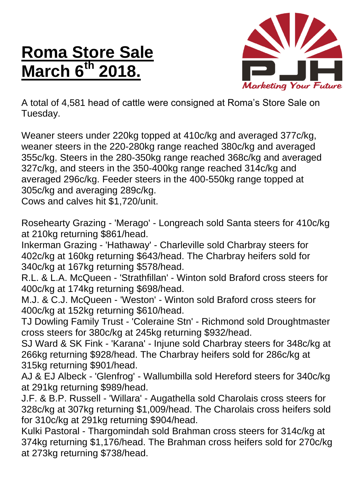## **Roma Store Sale March 6 th 2018.**



A total of 4,581 head of cattle were consigned at Roma's Store Sale on Tuesday.

Weaner steers under 220kg topped at 410c/kg and averaged 377c/kg, weaner steers in the 220-280kg range reached 380c/kg and averaged 355c/kg. Steers in the 280-350kg range reached 368c/kg and averaged 327c/kg, and steers in the 350-400kg range reached 314c/kg and averaged 296c/kg. Feeder steers in the 400-550kg range topped at 305c/kg and averaging 289c/kg.

Cows and calves hit \$1,720/unit.

Rosehearty Grazing - 'Merago' - Longreach sold Santa steers for 410c/kg at 210kg returning \$861/head.

Inkerman Grazing - 'Hathaway' - Charleville sold Charbray steers for 402c/kg at 160kg returning \$643/head. The Charbray heifers sold for 340c/kg at 167kg returning \$578/head.

R.L. & L.A. McQueen - 'Strathfillan' - Winton sold Braford cross steers for 400c/kg at 174kg returning \$698/head.

M.J. & C.J. McQueen - 'Weston' - Winton sold Braford cross steers for 400c/kg at 152kg returning \$610/head.

TJ Dowling Family Trust - 'Coleraine Stn' - Richmond sold Droughtmaster cross steers for 380c/kg at 245kg returning \$932/head.

SJ Ward & SK Fink - 'Karana' - Injune sold Charbray steers for 348c/kg at 266kg returning \$928/head. The Charbray heifers sold for 286c/kg at 315kg returning \$901/head.

AJ & EJ Albeck - 'Glenfrog' - Wallumbilla sold Hereford steers for 340c/kg at 291kg returning \$989/head.

J.F. & B.P. Russell - 'Willara' - Augathella sold Charolais cross steers for 328c/kg at 307kg returning \$1,009/head. The Charolais cross heifers sold for 310c/kg at 291kg returning \$904/head.

Kulki Pastoral - Thargomindah sold Brahman cross steers for 314c/kg at 374kg returning \$1,176/head. The Brahman cross heifers sold for 270c/kg at 273kg returning \$738/head.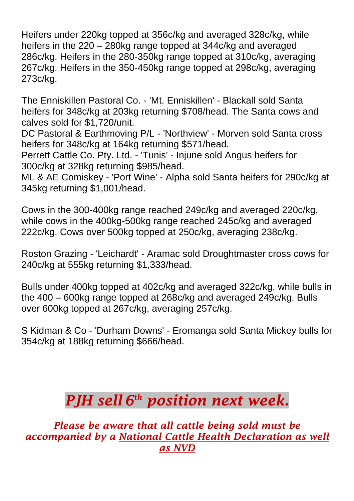Heifers under 220kg topped at 356c/kg and averaged 328c/kg, while heifers in the 220 – 280kg range topped at 344c/kg and averaged 286c/kg. Heifers in the 280-350kg range topped at 310c/kg, averaging 267c/kg. Heifers in the 350-450kg range topped at 298c/kg, averaging 273c/kg.

The Enniskillen Pastoral Co. - 'Mt. Enniskillen' - Blackall sold Santa heifers for 348c/kg at 203kg returning \$708/head. The Santa cows and calves sold for \$1,720/unit.

DC Pastoral & Earthmoving P/L - 'Northview' - Morven sold Santa cross heifers for 348c/kg at 164kg returning \$571/head.

Perrett Cattle Co. Pty. Ltd. - 'Tunis' - Injune sold Angus heifers for 300c/kg at 328kg returning \$985/head.

ML & AE Comiskey - 'Port Wine' - Alpha sold Santa heifers for 290c/kg at 345kg returning \$1,001/head.

Cows in the 300-400kg range reached 249c/kg and averaged 220c/kg, while cows in the 400kg-500kg range reached 245c/kg and averaged 222c/kg. Cows over 500kg topped at 250c/kg, averaging 238c/kg.

Roston Grazing - 'Leichardt' - Aramac sold Droughtmaster cross cows for 240c/kg at 555kg returning \$1,333/head.

Bulls under 400kg topped at 402c/kg and averaged 322c/kg, while bulls in the 400 – 600kg range topped at 268c/kg and averaged 249c/kg. Bulls over 600kg topped at 267c/kg, averaging 257c/kg.

S Kidman & Co - 'Durham Downs' - Eromanga sold Santa Mickey bulls for 354c/kg at 188kg returning \$666/head.

## *PJH sell 6 th position next week.*

*Please be aware that all cattle being sold must be accompanied by a National Cattle Health Declaration as well as NVD*